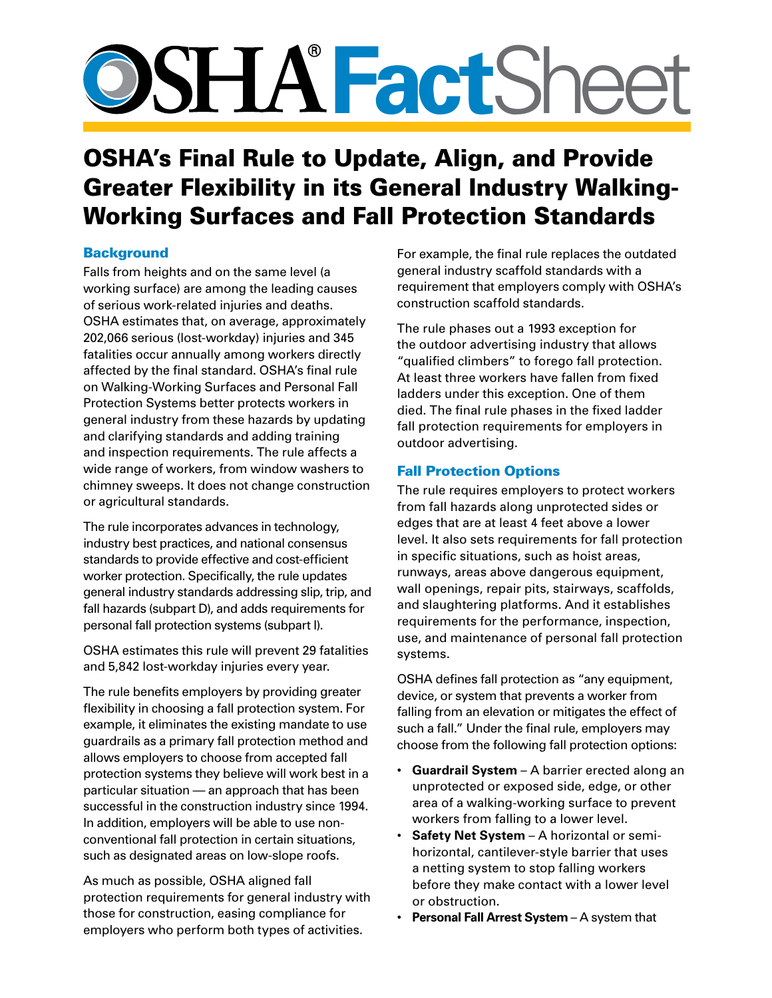# **SSHA FactSheet**

# OSHA's Final Rule to Update, Align, and Provide Greater Flexibility in its General Industry Walking-Working Surfaces and Fall Protection Standards

# **Background**

Falls from heights and on the same level (a working surface) are among the leading causes of serious work-related injuries and deaths. OSHA estimates that, on average, approximately 202,066 serious (lost-workday) injuries and 345 fatalities occur annually among workers directly affected by the final standard. OSHA's final rule on Walking-Working Surfaces and Personal Fall Protection Systems better protects workers in general industry from these hazards by updating and clarifying standards and adding training and inspection requirements. The rule affects a wide range of workers, from window washers to chimney sweeps. It does not change construction or agricultural standards.

The rule incorporates advances in technology, industry best practices, and national consensus standards to provide effective and cost-efficient worker protection. Specifically, the rule updates general industry standards addressing slip, trip, and fall hazards (subpart D), and adds requirements for personal fall protection systems (subpart I).

OSHA estimates this rule will prevent 29 fatalities and 5,842 lost-workday injuries every year.

The rule benefits employers by providing greater flexibility in choosing a fall protection system. For example, it eliminates the existing mandate to use guardrails as a primary fall protection method and allows employers to choose from accepted fall protection systems they believe will work best in a particular situation — an approach that has been successful in the construction industry since 1994. In addition, employers will be able to use nonconventional fall protection in certain situations, such as designated areas on low-slope roofs.

As much as possible, OSHA aligned fall protection requirements for general industry with those for construction, easing compliance for employers who perform both types of activities.

For example, the final rule replaces the outdated general industry scaffold standards with a requirement that employers comply with OSHA's construction scaffold standards.

The rule phases out a 1993 exception for the outdoor advertising industry that allows "qualified climbers" to forego fall protection. At least three workers have fallen from fixed ladders under this exception. One of them died. The final rule phases in the fixed ladder fall protection requirements for employers in outdoor advertising.

# Fall Protection Options

The rule requires employers to protect workers from fall hazards along unprotected sides or edges that are at least 4 feet above a lower level. It also sets requirements for fall protection in specific situations, such as hoist areas, runways, areas above dangerous equipment, wall openings, repair pits, stairways, scaffolds, and slaughtering platforms. And it establishes requirements for the performance, inspection, use, and maintenance of personal fall protection systems.

OSHA defines fall protection as "any equipment, device, or system that prevents a worker from falling from an elevation or mitigates the effect of such a fall." Under the final rule, employers may choose from the following fall protection options:

- **Guardrail System** A barrier erected along an unprotected or exposed side, edge, or other area of a walking-working surface to prevent workers from falling to a lower level.
- **Safety Net System** A horizontal or semihorizontal, cantilever-style barrier that uses a netting system to stop falling workers before they make contact with a lower level or obstruction.
- **Personal Fall Arrest System** A system that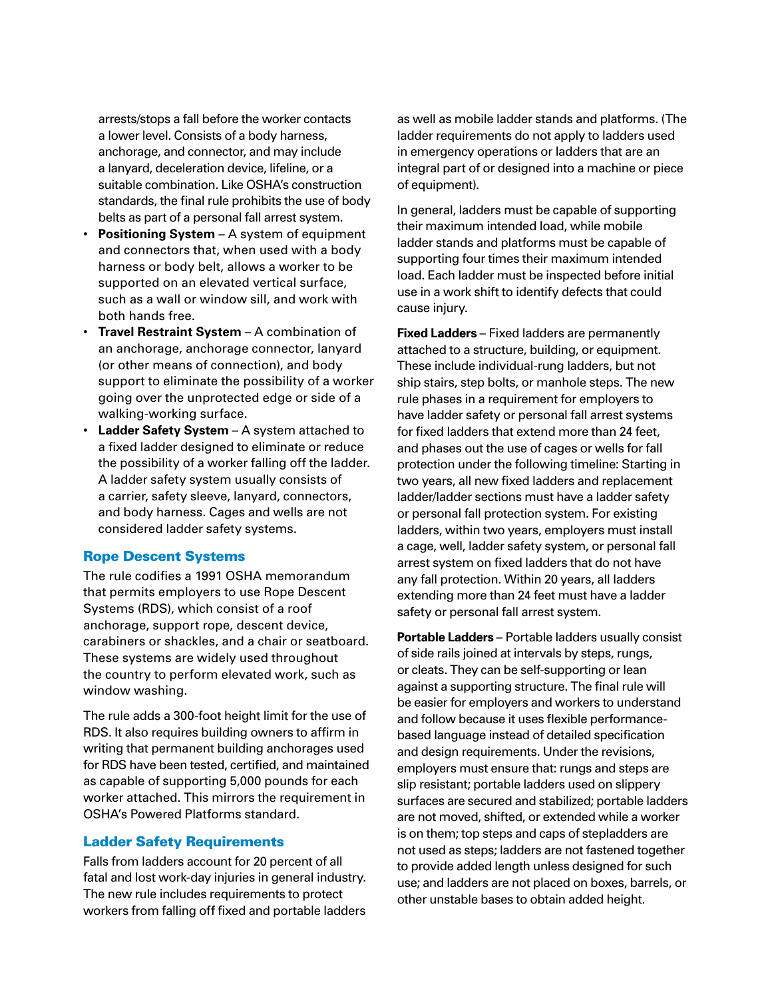arrests/stops a fall before the worker contacts a lower level. Consists of a body harness, anchorage, and connector, and may include a lanyard, deceleration device, lifeline, or a suitable combination. Like OSHA's construction standards, the final rule prohibits the use of body belts as part of a personal fall arrest system.

- **Positioning System**  A system of equipment and connectors that, when used with a body harness or body belt, allows a worker to be supported on an elevated vertical surface, such as a wall or window sill, and work with both hands free.
- **Travel Restraint System** A combination of an anchorage, anchorage connector, lanyard (or other means of connection), and body support to eliminate the possibility of a worker going over the unprotected edge or side of a walking-working surface.
- **Ladder Safety System** A system attached to a fixed ladder designed to eliminate or reduce the possibility of a worker falling off the ladder. A ladder safety system usually consists of a carrier, safety sleeve, lanyard, connectors, and body harness. Cages and wells are not considered ladder safety systems.

#### Rope Descent Systems

The rule codifies a 1991 OSHA memorandum that permits employers to use Rope Descent Systems (RDS), which consist of a roof anchorage, support rope, descent device, carabiners or shackles, and a chair or seatboard. These systems are widely used throughout the country to perform elevated work, such as window washing.

The rule adds a 300-foot height limit for the use of RDS. It also requires building owners to affirm in writing that permanent building anchorages used for RDS have been tested, certified, and maintained as capable of supporting 5,000 pounds for each worker attached. This mirrors the requirement in OSHA's Powered Platforms standard.

#### Ladder Safety Requirements

Falls from ladders account for 20 percent of all fatal and lost work-day injuries in general industry. The new rule includes requirements to protect workers from falling off fixed and portable ladders as well as mobile ladder stands and platforms. (The ladder requirements do not apply to ladders used in emergency operations or ladders that are an integral part of or designed into a machine or piece of equipment).

In general, ladders must be capable of supporting their maximum intended load, while mobile ladder stands and platforms must be capable of supporting four times their maximum intended load. Each ladder must be inspected before initial use in a work shift to identify defects that could cause injury.

**Fixed Ladders** – Fixed ladders are permanently attached to a structure, building, or equipment. These include individual-rung ladders, but not ship stairs, step bolts, or manhole steps. The new rule phases in a requirement for employers to have ladder safety or personal fall arrest systems for fixed ladders that extend more than 24 feet, and phases out the use of cages or wells for fall protection under the following timeline: Starting in two years, all new fixed ladders and replacement ladder/ladder sections must have a ladder safety or personal fall protection system. For existing ladders, within two years, employers must install a cage, well, ladder safety system, or personal fall arrest system on fixed ladders that do not have any fall protection. Within 20 years, all ladders extending more than 24 feet must have a ladder safety or personal fall arrest system.

**Portable Ladders** – Portable ladders usually consist of side rails joined at intervals by steps, rungs, or cleats. They can be self-supporting or lean against a supporting structure. The final rule will be easier for employers and workers to understand and follow because it uses flexible performancebased language instead of detailed specification and design requirements. Under the revisions, employers must ensure that: rungs and steps are slip resistant; portable ladders used on slippery surfaces are secured and stabilized; portable ladders are not moved, shifted, or extended while a worker is on them; top steps and caps of stepladders are not used as steps; ladders are not fastened together to provide added length unless designed for such use; and ladders are not placed on boxes, barrels, or other unstable bases to obtain added height.